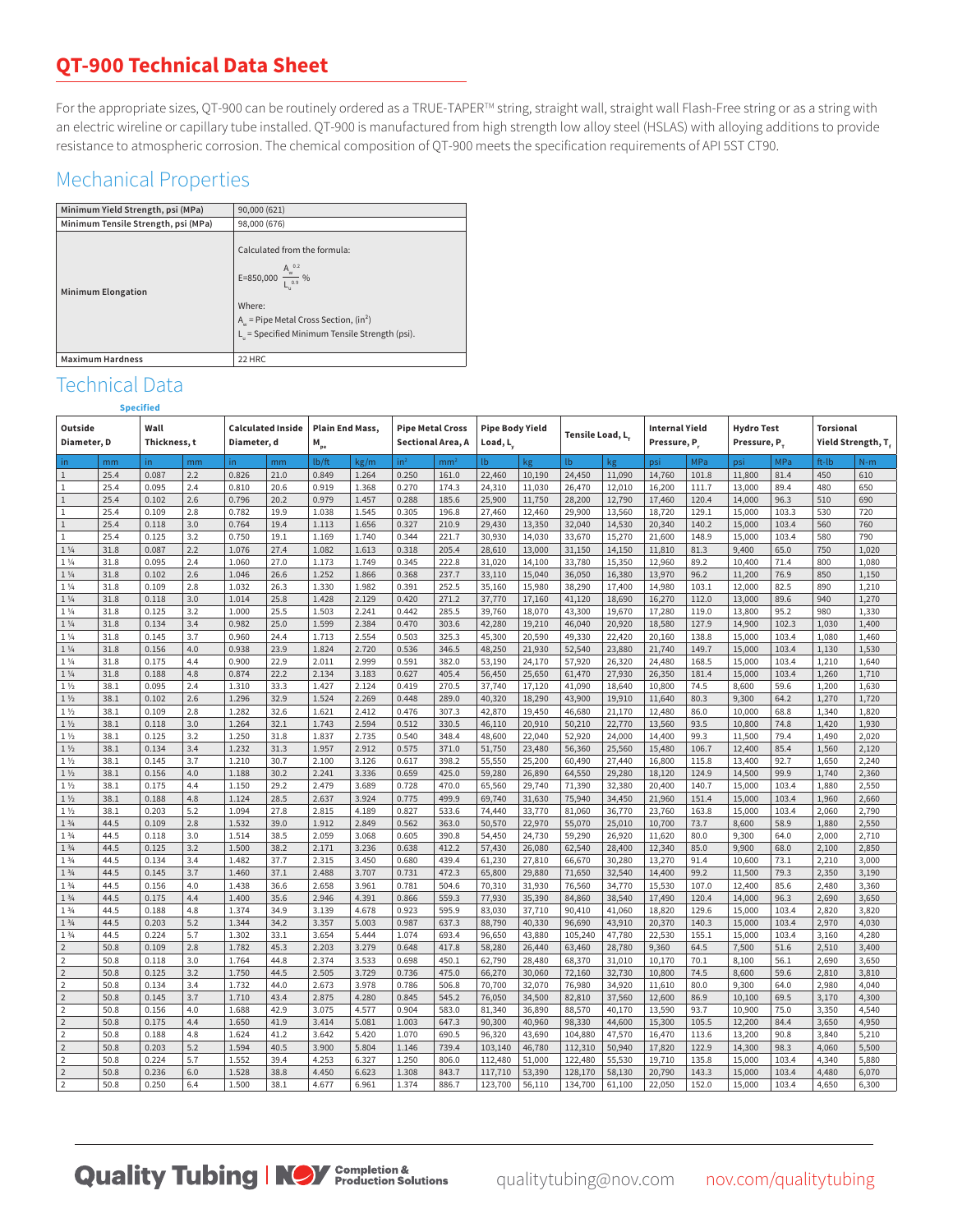## **QT-900 Technical Data Sheet**

For the appropriate sizes, QT-900 can be routinely ordered as a TRUE-TAPER™ string, straight wall, straight wall Flash-Free string or as a string with an electric wireline or capillary tube installed. QT-900 is manufactured from high strength low alloy steel (HSLAS) with alloying additions to provide resistance to atmospheric corrosion. The chemical composition of QT-900 meets the specification requirements of API 5ST CT90.

## Mechanical Properties

| Minimum Yield Strength, psi (MPa)   | 90,000 (621)                                                                                                                                                                                |
|-------------------------------------|---------------------------------------------------------------------------------------------------------------------------------------------------------------------------------------------|
| Minimum Tensile Strength, psi (MPa) | 98,000 (676)                                                                                                                                                                                |
| <b>Minimum Elongation</b>           | Calculated from the formula:<br>E=850,000 $\frac{A_w^{0.2}}{L_{0.9}}$ %<br>Where:<br>$A_w$ = Pipe Metal Cross Section, (in <sup>2</sup> )<br>L. = Specified Minimum Tensile Strength (psi). |
| <b>Maximum Hardness</b>             | 22 HRC                                                                                                                                                                                      |

## Technical Data **Specified**

| Outside<br>Wall<br>Diameter, D     |              | <b>Calculated Inside</b><br>Thickness, t<br>Diameter, d |            | <b>Plain End Mass,</b><br><b>Pipe Metal Cross</b><br>$M_{pe}$<br>Sectional Area, A |              |                | <b>Pipe Body Yield</b><br>Load, L |                 | Tensile Load, L. |                  | <b>Internal Yield</b><br>Pressure, P. |                  | <b>Hydro Test</b><br>Pressure, P. |                  | <b>Torsional</b><br>Yield Strength, T, |                  |              |                |                |
|------------------------------------|--------------|---------------------------------------------------------|------------|------------------------------------------------------------------------------------|--------------|----------------|-----------------------------------|-----------------|------------------|------------------|---------------------------------------|------------------|-----------------------------------|------------------|----------------------------------------|------------------|--------------|----------------|----------------|
| in.                                | mm           | in.                                                     | mm         | in.                                                                                | mm           | lb/ft          | kg/m                              | in <sup>2</sup> | mm <sup>2</sup>  | lb.              | kg                                    | l <sub>b</sub>   | kg                                | psi              | MPa                                    | psi              | <b>MPa</b>   | ft-Ib          | $N-m$          |
| $\mathbf{1}$                       | 25.4         | 0.087                                                   | 2.2        | 0.826                                                                              | 21.0         | 0.849          | 1.264                             | 0.250           | 161.0            | 22,460           | 10,190                                | 24,450           | 11,090                            | 14,760           | 101.8                                  | 11,800           | 81.4         | 450            | 610            |
| $\mathbf{1}$                       | 25.4         | 0.095                                                   | 2.4        | 0.810                                                                              | 20.6         | 0.919          | 1.368                             | 0.270           | 174.3            | 24,310           | 11,030                                | 26,470           | 12,010                            | 16,200           | 111.7                                  | 13,000           | 89.4         | 480            | 650            |
| $\mathbf{1}$                       | 25.4         | 0.102                                                   | 2.6        | 0.796                                                                              | 20.2         | 0.979          | 1.457                             | 0.288           | 185.6            | 25,900           | 11,750                                | 28,200           | 12,790                            | 17,460           | 120.4                                  | 14,000           | 96.3         | 510            | 690            |
| $\mathbf{1}$                       | 25.4         | 0.109                                                   | 2.8        | 0.782                                                                              | 19.9         | 1.038          | 1.545                             | 0.305           | 196.8            | 27,460           | 12,460                                | 29,900           | 13,560                            | 18,720           | 129.1                                  | 15,000           | 103.3        | 530            | 720            |
| $\mathbf{1}$                       | 25.4         | 0.118                                                   | 3.0        | 0.764                                                                              | 19.4         | 1.113          | 1.656                             | 0.327           | 210.9            | 29,430           | 13,350                                | 32,040           | 14,530                            | 20,340           | 140.2                                  | 15,000           | 103.4        | 560            | 760            |
| 1                                  | 25.4         | 0.125                                                   | 3.2        | 0.750                                                                              | 19.1         | 1.169          | 1.740                             | 0.344           | 221.7            | 30,930           | 14,030                                | 33,670           | 15,270                            | 21,600           | 148.9                                  | 15,000           | 103.4        | 580            | 790            |
| $1\frac{1}{4}$                     | 31.8         | 0.087                                                   | 2.2        | 1.076                                                                              | 27.4         | 1.082          | 1.613                             | 0.318           | 205.4            | 28,610           | 13,000                                | 31,150           | 14,150                            | 11,810           | 81.3                                   | 9,400            | 65.0         | 750            | 1,020          |
| 1 <sup>1</sup> / <sub>4</sub>      | 31.8         | 0.095                                                   | 2.4        | 1.060                                                                              | 27.0         | 1.173          | 1.749                             | 0.345           | 222.8            | 31,020           | 14,100                                | 33,780           | 15,350                            | 12,960           | 89.2                                   | 10,400           | 71.4         | 800            | 1,080          |
| $1\,\%$                            | 31.8         | 0.102                                                   | 2.6        | 1.046                                                                              | 26.6         | 1.252          | 1.866                             | 0.368           | 237.7            | 33,110           | 15,040                                | 36,050           | 16,380                            | 13,970           | 96.2                                   | 11,200           | 76.9         | 850            | 1,150          |
| $1\frac{1}{4}$                     | 31.8         | 0.109                                                   | 2.8        | 1.032                                                                              | 26.3         | 1.330          | 1.982                             | 0.391           | 252.5            | 35,160           | 15,980                                | 38,290           | 17,400                            | 14,980           | 103.1                                  | 12,000           | 82.5         | 890            | 1,210          |
| $1\frac{1}{4}$                     | 31.8         | 0.118                                                   | 3.0        | 1.014                                                                              | 25.8         | 1.428          | 2.129                             | 0.420           | 271.2            | 37,770           | 17,160                                | 41,120           | 18,690                            | 16,270           | 112.0                                  | 13,000           | 89.6         | 940            | 1,270          |
| 1 <sup>1</sup> / <sub>4</sub>      | 31.8         | 0.125                                                   | 3.2        | 1.000                                                                              | 25.5         | 1.503          | 2.241                             | 0.442           | 285.5            | 39,760           | 18,070                                | 43,300           | 19,670                            | 17,280           | 119.0                                  | 13,800           | 95.2         | 980            | 1,330          |
| $1\frac{1}{4}$                     | 31.8         | 0.134                                                   | 3.4        | 0.982                                                                              | 25.0         | 1.599          | 2.384                             | 0.470           | 303.6            | 42,280           | 19,210                                | 46,040           | 20,920                            | 18,580           | 127.9                                  | 14,900           | 102.3        | 1,030          | 1,400          |
| $1\frac{1}{4}$                     | 31.8         | 0.145                                                   | 3.7        | 0.960                                                                              | 24.4         | 1.713          | 2.554                             | 0.503           | 325.3            | 45,300           | 20,590                                | 49,330           | 22,420                            | 20,160           | 138.8                                  | 15,000           | 103.4        | 1,080          | 1,460          |
| $1\frac{1}{4}$                     | 31.8         | 0.156                                                   | 4.0        | 0.938                                                                              | 23.9         | 1.824          | 2.720                             | 0.536           | 346.5            | 48,250           | 21,930                                | 52,540           | 23,880                            | 21,740           | 149.7                                  | 15,000           | 103.4        | 1,130          | 1,530          |
| $1\frac{1}{4}$                     | 31.8         | 0.175                                                   | 4.4        | 0.900                                                                              | 22.9         | 2.011          | 2.999                             | 0.591           | 382.0            | 53,190           | 24,170                                | 57,920           | 26,320                            | 24,480           | 168.5                                  | 15,000           | 103.4        | 1,210          | 1,640          |
| $1\frac{1}{4}$                     | 31.8         | 0.188                                                   | 4.8        | 0.874                                                                              | 22.2         | 2.134          | 3.183                             | 0.627           | 405.4            | 56,450           | 25,650                                | 61,470           | 27,930                            | 26,350           | 181.4                                  | 15,000           | 103.4        | 1,260          | 1,710          |
| $1\frac{1}{2}$                     | 38.1         | 0.095                                                   | 2.4        | 1.310                                                                              | 33.3         | 1.427          | 2.124                             | 0.419           | 270.5            | 37,740           | 17,120                                | 41,090           | 18,640                            | 10,800           | 74.5                                   | 8,600            | 59.6         | 1,200          | 1,630          |
| $1\frac{1}{2}$                     | 38.1         | 0.102                                                   | 2.6        | 1.296                                                                              | 32.9         | 1.524          | 2.269                             | 0.448           | 289.0            | 40,320           | 18,290                                | 43,900           | 19,910                            | 11,640           | 80.3                                   | 9,300            | 64.2         | 1,270          | 1,720          |
| $1\frac{1}{2}$                     | 38.1         | 0.109                                                   | 2.8        | 1.282                                                                              | 32.6         | 1.621          | 2.412                             | 0.476           | 307.3            | 42,870           | 19,450                                | 46,680           | 21,170                            | 12,480           | 86.0                                   | 10,000           | 68.8         | 1,340          | 1,820          |
| $1\frac{1}{2}$                     | 38.1         | 0.118                                                   | 3.0        | 1.264                                                                              | 32.1         | 1.743          | 2.594                             | 0.512           | 330.5            | 46,110           | 20,910                                | 50,210           | 22,770                            | 13,560           | 93.5                                   | 10,800           | 74.8         | 1,420          | 1,930          |
| $1\frac{1}{2}$                     | 38.1         | 0.125                                                   | 3.2        | 1.250                                                                              | 31.8         | 1.837          | 2.735                             | 0.540           | 348.4            | 48,600           | 22,040                                | 52,920           | 24,000                            | 14,400           | 99.3                                   | 11,500           | 79.4         | 1,490          | 2,020          |
| $1\frac{1}{2}$                     | 38.1         | 0.134                                                   | 3.4        | 1.232                                                                              | 31.3         | 1.957          | 2.912                             | 0.575           | 371.0            | 51,750           | 23,480                                | 56,360           | 25,560                            | 15,480           | 106.7                                  | 12,400           | 85.4         | 1,560          | 2,120          |
| $1\frac{1}{2}$                     | 38.1         | 0.145                                                   | 3.7        | 1.210                                                                              | 30.7         | 2.100          | 3.126                             | 0.617           | 398.2            | 55,550           | 25,200                                | 60,490           | 27,440                            | 16,800           | 115.8                                  | 13,400           | 92.7         | 1,650          | 2,240          |
| $1\frac{1}{2}$                     | 38.1         | 0.156                                                   | 4.0        | 1.188                                                                              | 30.2         | 2.241          | 3.336                             | 0.659           | 425.0            | 59,280           | 26,890                                | 64,550           | 29,280                            | 18,120           | 124.9                                  | 14,500           | 99.9         | 1,740          | 2,360          |
| $1\frac{1}{2}$                     | 38.1         | 0.175                                                   | 4.4        | 1.150                                                                              | 29.2         | 2.479          | 3.689                             | 0.728           | 470.0            | 65,560           | 29,740                                | 71,390           | 32,380                            | 20,400           | 140.7                                  | 15,000           | 103.4        | 1,880          | 2,550          |
| $1\,\%$                            | 38.1         | 0.188                                                   | 4.8        | 1.124                                                                              | 28.5         | 2.637          | 3.924                             | 0.775           | 499.9            | 69,740           | 31,630                                | 75,940           | 34,450                            | 21,960           | 151.4                                  | 15,000           | 103.4        | 1,960          | 2,660          |
| $1\frac{1}{2}$                     | 38.1         | 0.203                                                   | 5.2        | 1.094                                                                              | 27.8         | 2.815          | 4.189                             | 0.827           | 533.6            | 74,440           | 33,770                                | 81,060           | 36,770                            | 23,760           | 163.8                                  | 15,000           | 103.4        | 2,060          | 2,790          |
| $1 \frac{3}{4}$                    | 44.5         | 0.109                                                   | 2.8        | 1.532                                                                              | 39.0         | 1.912          | 2.849                             | 0.562           | 363.0            | 50,570           | 22,970                                | 55,070           | 25,010                            | 10,700           | 73.7                                   | 8,600            | 58.9         | 1,880          | 2,550          |
| $1 \frac{3}{4}$                    | 44.5         | 0.118                                                   | 3.0        | 1.514                                                                              | 38.5         | 2.059          | 3.068                             | 0.605           | 390.8            | 54,450           | 24,730                                | 59,290           | 26,920                            | 11,620           | 80.0                                   | 9,300            | 64.0         | 2,000          | 2,710          |
| $1 \frac{3}{4}$<br>$1 \frac{3}{4}$ | 44.5<br>44.5 | 0.125<br>0.134                                          | 3.2<br>3.4 | 1.500<br>1.482                                                                     | 38.2<br>37.7 | 2.171<br>2.315 | 3.236<br>3.450                    | 0.638<br>0.680  | 412.2<br>439.4   | 57,430<br>61,230 | 26,080<br>27,810                      | 62,540<br>66,670 | 28,400<br>30,280                  | 12,340<br>13,270 | 85.0<br>91.4                           | 9,900<br>10,600  | 68.0<br>73.1 | 2,100<br>2,210 | 2,850<br>3,000 |
| $1 \frac{3}{4}$                    | 44.5         | 0.145                                                   | 3.7        | 1.460                                                                              | 37.1         | 2.488          | 3.707                             | 0.731           | 472.3            |                  | 29,880                                | 71,650           |                                   |                  | 99.2                                   |                  | 79.3         |                | 3,190          |
| $1 \frac{3}{4}$                    | 44.5         | 0.156                                                   | 4.0        | 1.438                                                                              | 36.6         | 2.658          | 3.961                             | 0.781           | 504.6            | 65,800<br>70,310 | 31,930                                | 76,560           | 32,540<br>34,770                  | 14,400<br>15,530 | 107.0                                  | 11,500<br>12,400 | 85.6         | 2,350<br>2,480 | 3,360          |
| $1 \frac{3}{4}$                    | 44.5         | 0.175                                                   | 4.4        | 1.400                                                                              | 35.6         | 2.946          | 4.391                             | 0.866           | 559.3            | 77,930           | 35,390                                | 84,860           | 38,540                            | 17,490           | 120.4                                  | 14,000           | 96.3         | 2,690          | 3,650          |
| $1 \frac{3}{4}$                    | 44.5         | 0.188                                                   | 4.8        | 1.374                                                                              | 34.9         | 3.139          | 4.678                             | 0.923           | 595.9            | 83,030           | 37,710                                | 90,410           | 41,060                            | 18,820           | 129.6                                  | 15,000           | 103.4        | 2,820          | 3,820          |
| $1 \frac{3}{4}$                    | 44.5         | 0.203                                                   | 5.2        | 1.344                                                                              | 34.2         | 3.357          | 5.003                             | 0.987           | 637.3            | 88,790           | 40,330                                | 96,690           | 43,910                            | 20,370           | 140.3                                  | 15,000           | 103.4        | 2,970          | 4,030          |
| $1\frac{3}{4}$                     | 44.5         | 0.224                                                   | 5.7        | 1.302                                                                              | 33.1         | 3.654          | 5.444                             | 1.074           | 693.4            | 96,650           | 43,880                                | 105,240          | 47,780                            | 22,530           | 155.1                                  | 15,000           | 103.4        | 3,160          | 4,280          |
| $\overline{2}$                     | 50.8         | 0.109                                                   | 2.8        | 1.782                                                                              | 45.3         | 2.203          | 3.279                             | 0.648           | 417.8            | 58,280           | 26,440                                | 63,460           | 28,780                            | 9,360            | 64.5                                   | 7,500            | 51.6         | 2,510          | 3,400          |
| $\overline{\mathbf{c}}$            | 50.8         | 0.118                                                   | 3.0        | 1.764                                                                              | 44.8         | 2.374          | 3.533                             | 0.698           | 450.1            | 62,790           | 28,480                                | 68,370           | 31,010                            | 10,170           | 70.1                                   | 8,100            | 56.1         | 2,690          | 3,650          |
| $\overline{2}$                     | 50.8         | 0.125                                                   | 3.2        | 1.750                                                                              | 44.5         | 2.505          | 3.729                             | 0.736           | 475.0            | 66,270           | 30,060                                | 72,160           | 32,730                            | 10,800           | 74.5                                   | 8,600            | 59.6         | 2,810          | 3,810          |
| $\overline{2}$                     | 50.8         | 0.134                                                   | 3.4        | 1.732                                                                              | 44.0         | 2.673          | 3.978                             | 0.786           | 506.8            | 70,700           | 32,070                                | 76,980           | 34,920                            | 11,610           | 80.0                                   | 9,300            | 64.0         | 2,980          | 4,040          |
| $\overline{2}$                     | 50.8         | 0.145                                                   | 3.7        | 1.710                                                                              | 43.4         | 2.875          | 4.280                             | 0.845           | 545.2            | 76,050           | 34,500                                | 82,810           | 37,560                            | 12,600           | 86.9                                   | 10,100           | 69.5         | 3,170          | 4,300          |
| $\overline{2}$                     | 50.8         | 0.156                                                   | 4.0        | 1.688                                                                              | 42.9         | 3.075          | 4.577                             | 0.904           | 583.0            | 81,340           | 36,890                                | 88,570           | 40,170                            | 13,590           | 93.7                                   | 10,900           | 75.0         | 3,350          | 4,540          |
| $\overline{2}$                     | 50.8         | 0.175                                                   | 4.4        | 1.650                                                                              | 41.9         | 3.414          | 5.081                             | 1.003           | 647.3            | 90,300           | 40,960                                | 98,330           | 44,600                            | 15,300           | 105.5                                  | 12,200           | 84.4         | 3,650          | 4,950          |
| $\overline{\mathbf{c}}$            | 50.8         | 0.188                                                   | 4.8        | 1.624                                                                              | 41.2         | 3.642          | 5.420                             | 1.070           | 690.5            | 96,320           | 43,690                                | 104,880          | 47,570                            | 16,470           | 113.6                                  | 13,200           | 90.8         | 3,840          | 5,210          |
| $\overline{2}$                     | 50.8         | 0.203                                                   | 5.2        | 1.594                                                                              | 40.5         | 3.900          | 5.804                             | 1.146           | 739.4            | 103,140          | 46,780                                | 112,310          | 50,940                            | 17,820           | 122.9                                  | 14,300           | 98.3         | 4,060          | 5,500          |
| $\overline{2}$                     | 50.8         | 0.224                                                   | 5.7        | 1.552                                                                              | 39.4         | 4.253          | 6.327                             | 1.250           | 806.0            | 112,480          | 51,000                                | 122,480          | 55,530                            | 19,710           | 135.8                                  | 15,000           | 103.4        | 4,340          | 5,880          |
| $\overline{2}$                     | 50.8         | 0.236                                                   | 6.0        | 1.528                                                                              | 38.8         | 4.450          | 6.623                             | 1.308           | 843.7            | 117,710          | 53,390                                | 128,170          | 58,130                            | 20,790           | 143.3                                  | 15,000           | 103.4        | 4,480          | 6,070          |
| $\overline{2}$                     | 50.8         | 0.250                                                   | 6.4        | 1.500                                                                              | 38.1         | 4.677          | 6.961                             | 1.374           | 886.7            | 123,700          | 56,110                                | 134,700          | 61,100                            | 22,050           | 152.0                                  | 15,000           | 103.4        | 4,650          | 6,300          |